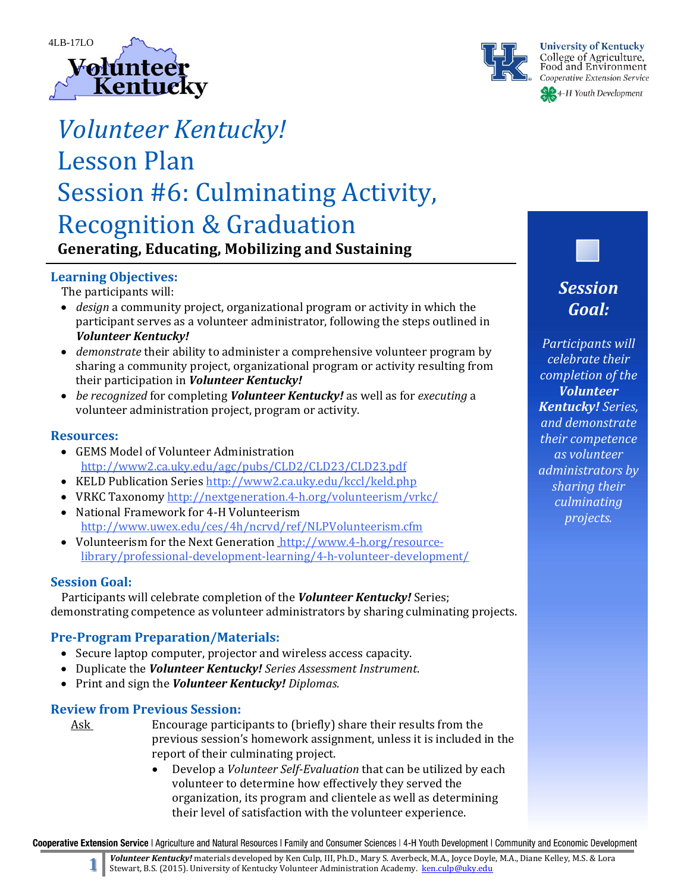



# *Volunteer Kentucky!*

## Lesson Plan Session #6: Culminating Activity, **Recognition & Graduation**

**Generating, Educating, Mobilizing and Sustaining**

## **Learning Objectives:**

The participants will:

- *design* a community project, organizational program or activity in which the participant serves as a volunteer administrator, following the steps outlined in *Volunteer Kentucky!*
- *demonstrate* their ability to administer a comprehensive volunteer program by sharing a community project, organizational program or activity resulting from their participation in *Volunteer Kentucky!*
- *be recognized* for completing *Volunteer Kentucky!* as well as for *executing* a volunteer administration project, program or activity.

#### **Resources:**

- GEMS Model of Volunteer Administration http://www2.ca.uky.edu/agc/pubs/CLD2/CLD23/CLD23.pdf
- KELD Publication Series http://www2.ca.uky.edu/kccl/keld.php
- VRKC Taxonomy http://nextgeneration.4-h.org/volunteerism/vrkc/
- National Framework for 4-H Volunteerism http://www.uwex.edu/ces/4h/ncrvd/ref/NLPVolunteerism.cfm
- Volunteerism for the Next Generation http://www.4-h.org/resourcelibrary/professional‐development‐learning/4‐h‐volunteer‐development/

#### **Session Goal:**

Participants will celebrate completion of the *Volunteer Kentucky!* Series; demonstrating competence as volunteer administrators by sharing culminating projects.

#### **Pre‐Program Preparation/Materials:**

- Secure laptop computer, projector and wireless access capacity.
- Duplicate the *Volunteer Kentucky! Series Assessment Instrument.*
- Print and sign the *Volunteer Kentucky! Diplomas.*

#### **Review from Previous Session:**

- Ask Encourage participants to (briefly) share their results from the previous session's homework assignment, unless it is included in the report of their culminating project.
	- Develop a *Volunteer Self-Evaluation* that can be utilized by each volunteer to determine how effectively they served the organization, its program and clientele as well as determining their level of satisfaction with the volunteer experience.

Cooperative Extension Service | Agriculture and Natural Resources | Family and Consumer Sciences | 4-H Youth Development | Community and Economic Development

**Volunteer Kentucky!** materials developed by Ken Culp, III, Ph.D., Mary S. Averbeck, M.A., Joyce Doyle, M.A., Diane Kelley, M.S. & Lora Stewart, B.S. (2015). University of Kentucky Volunteer Administration Academy. ken.culp@uky.edu

*Session Goal:*

*Participants will celebrate their completion of the Volunteer Kentucky! Series, and demonstrate their competence as volunteer administrators by sharing their culminating projects.*